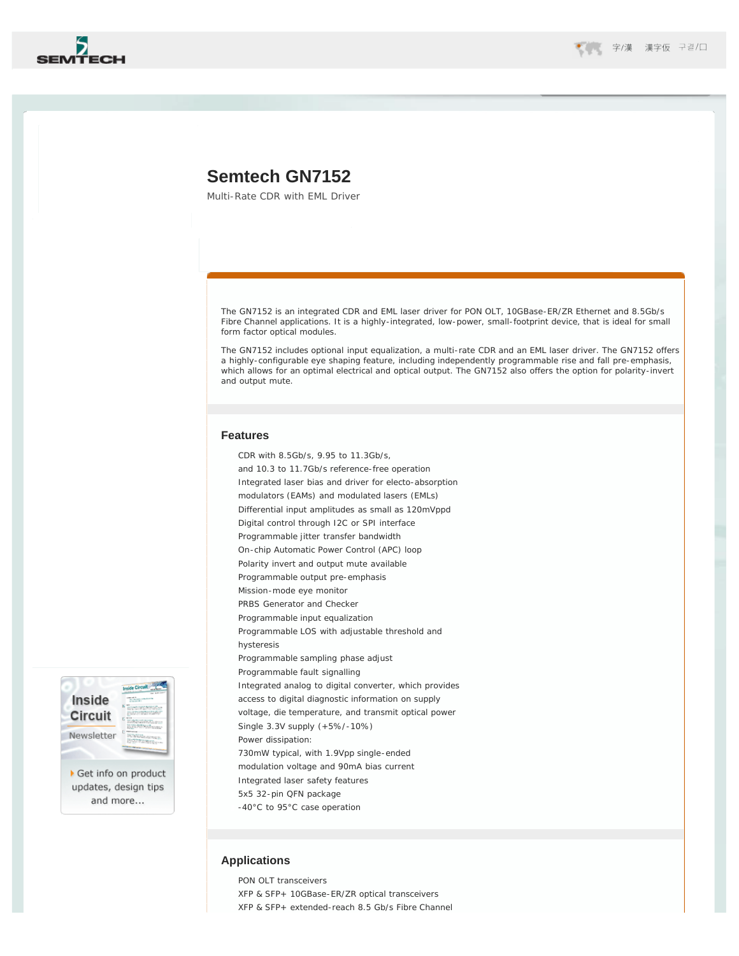

# **Semtech GN7152**

Multi-Rate CDR with EML Driver

The GN7152 is an integrated CDR and EML laser driver for PON OLT, 10GBase-ER/ZR Ethernet and 8.5Gb/s Fibre Channel applications. It is a highly-integrated, low-power, small-footprint device, that is ideal for small form factor optical modules.

The GN7152 includes optional input equalization, a multi-rate CDR and an EML laser driver. The GN7152 offers a highly-configurable eye shaping feature, including independently programmable rise and fall pre-emphasis, which allows for an optimal electrical and optical output. The GN7152 also offers the option for polarity-invert and output mute.

### **Features**

CDR with 8.5Gb/s, 9.95 to 11.3Gb/s, and 10.3 to 11.7Gb/s reference-free operation Integrated laser bias and driver for electo-absorption modulators (EAMs) and modulated lasers (EMLs) Differential input amplitudes as small as 120mVppd Digital control through I2C or SPI interface Programmable jitter transfer bandwidth On-chip Automatic Power Control (APC) loop Polarity invert and output mute available Programmable output pre-emphasis Mission-mode eye monitor PRBS Generator and Checker Programmable input equalization Programmable LOS with adjustable threshold and hysteresis Programmable sampling phase adjust Programmable fault signalling Integrated analog to digital converter, which provides access to digital diagnostic information on supply voltage, die temperature, and transmit optical power Single 3.3V supply (+5%/-10%) Power dissipation: 730mW typical, with 1.9Vpp single-ended modulation voltage and 90mA bias current Integrated laser safety features 5x5 32-pin QFN package -40°C to 95°C case operation

### **Applications**

PON OLT transceivers XFP & SFP+ 10GBase-ER/ZR optical transceivers XFP & SFP+ extended-reach 8.5 Gb/s Fibre Channel



Get info on product updates, design tips and more...